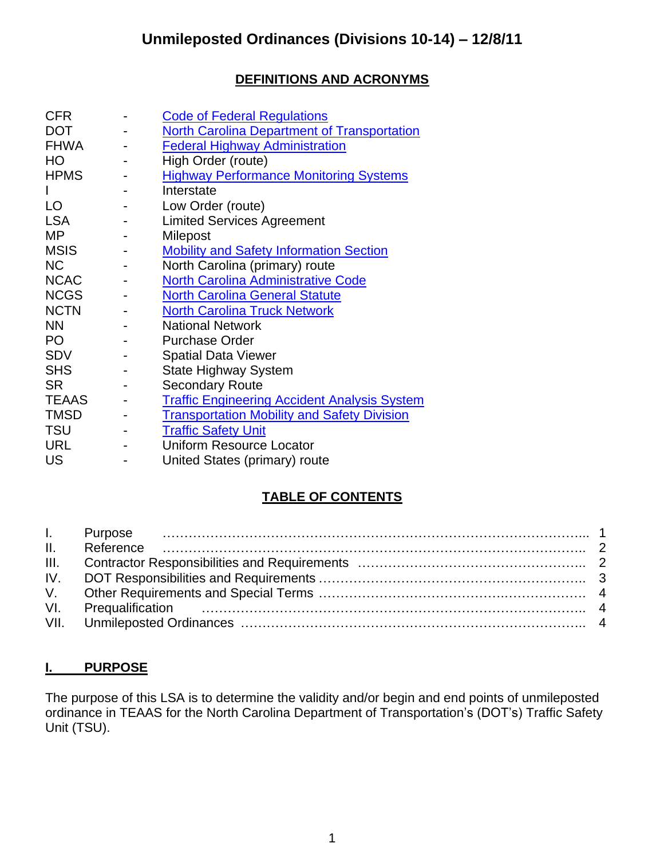## **DEFINITIONS AND ACRONYMS**

| <b>CFR</b>   | <b>Code of Federal Regulations</b>                  |
|--------------|-----------------------------------------------------|
| <b>DOT</b>   | <b>North Carolina Department of Transportation</b>  |
| <b>FHWA</b>  | <b>Federal Highway Administration</b>               |
| HO           | High Order (route)                                  |
| <b>HPMS</b>  | <b>Highway Performance Monitoring Systems</b>       |
|              | Interstate                                          |
| LO           | Low Order (route)                                   |
| <b>LSA</b>   | <b>Limited Services Agreement</b>                   |
| <b>MP</b>    | Milepost                                            |
| <b>MSIS</b>  | <b>Mobility and Safety Information Section</b>      |
| <b>NC</b>    | North Carolina (primary) route                      |
| <b>NCAC</b>  | <b>North Carolina Administrative Code</b>           |
| <b>NCGS</b>  | <b>North Carolina General Statute</b>               |
| <b>NCTN</b>  | <b>North Carolina Truck Network</b>                 |
| <b>NN</b>    | <b>National Network</b>                             |
| PO           | <b>Purchase Order</b>                               |
| <b>SDV</b>   | <b>Spatial Data Viewer</b>                          |
| <b>SHS</b>   | <b>State Highway System</b>                         |
| <b>SR</b>    | <b>Secondary Route</b>                              |
| <b>TEAAS</b> | <b>Traffic Engineering Accident Analysis System</b> |
| <b>TMSD</b>  | <b>Transportation Mobility and Safety Division</b>  |
| <b>TSU</b>   | <b>Traffic Safety Unit</b>                          |
| <b>URL</b>   | <b>Uniform Resource Locator</b>                     |
| <b>US</b>    | United States (primary) route                       |

## **TABLE OF CONTENTS**

### **I. PURPOSE**

The purpose of this LSA is to determine the validity and/or begin and end points of unmileposted ordinance in TEAAS for the North Carolina Department of Transportation's (DOT's) Traffic Safety Unit (TSU).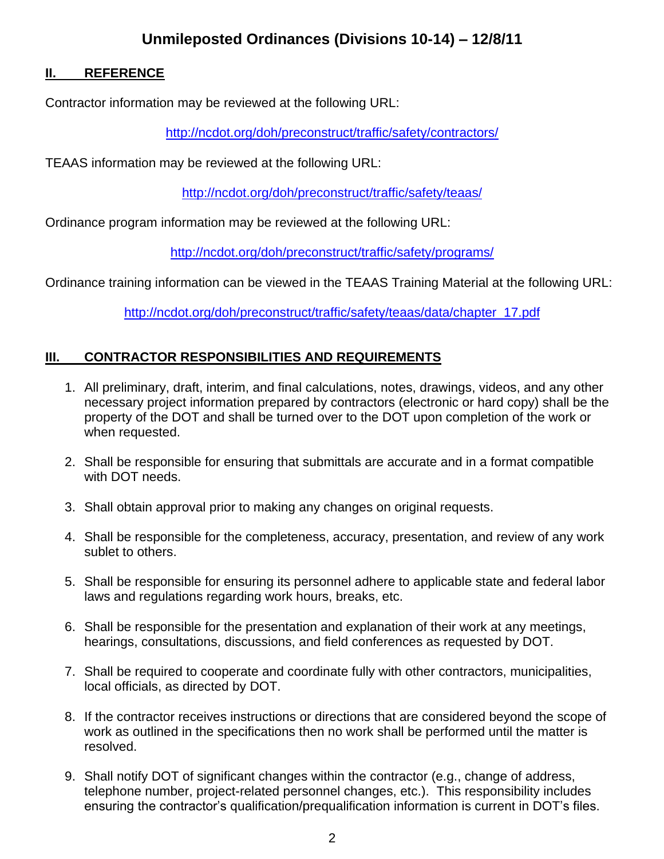# **Unmileposted Ordinances (Divisions 10-14) – 12/8/11**

#### **II. REFERENCE**

Contractor information may be reviewed at the following URL:

<http://ncdot.org/doh/preconstruct/traffic/safety/contractors/>

TEAAS information may be reviewed at the following URL:

<http://ncdot.org/doh/preconstruct/traffic/safety/teaas/>

Ordinance program information may be reviewed at the following URL:

<http://ncdot.org/doh/preconstruct/traffic/safety/programs/>

Ordinance training information can be viewed in the TEAAS Training Material at the following URL:

[http://ncdot.org/doh/preconstruct/traffic/safety/teaas/data/chapter\\_17.pdf](http://ncdot.org/doh/preconstruct/traffic/safety/teaas/data/chapter_17.pdf)

#### **III. CONTRACTOR RESPONSIBILITIES AND REQUIREMENTS**

- 1. All preliminary, draft, interim, and final calculations, notes, drawings, videos, and any other necessary project information prepared by contractors (electronic or hard copy) shall be the property of the DOT and shall be turned over to the DOT upon completion of the work or when requested.
- 2. Shall be responsible for ensuring that submittals are accurate and in a format compatible with DOT needs.
- 3. Shall obtain approval prior to making any changes on original requests.
- 4. Shall be responsible for the completeness, accuracy, presentation, and review of any work sublet to others.
- 5. Shall be responsible for ensuring its personnel adhere to applicable state and federal labor laws and regulations regarding work hours, breaks, etc.
- 6. Shall be responsible for the presentation and explanation of their work at any meetings, hearings, consultations, discussions, and field conferences as requested by DOT.
- 7. Shall be required to cooperate and coordinate fully with other contractors, municipalities, local officials, as directed by DOT.
- 8. If the contractor receives instructions or directions that are considered beyond the scope of work as outlined in the specifications then no work shall be performed until the matter is resolved.
- 9. Shall notify DOT of significant changes within the contractor (e.g., change of address, telephone number, project-related personnel changes, etc.). This responsibility includes ensuring the contractor's qualification/prequalification information is current in DOT's files.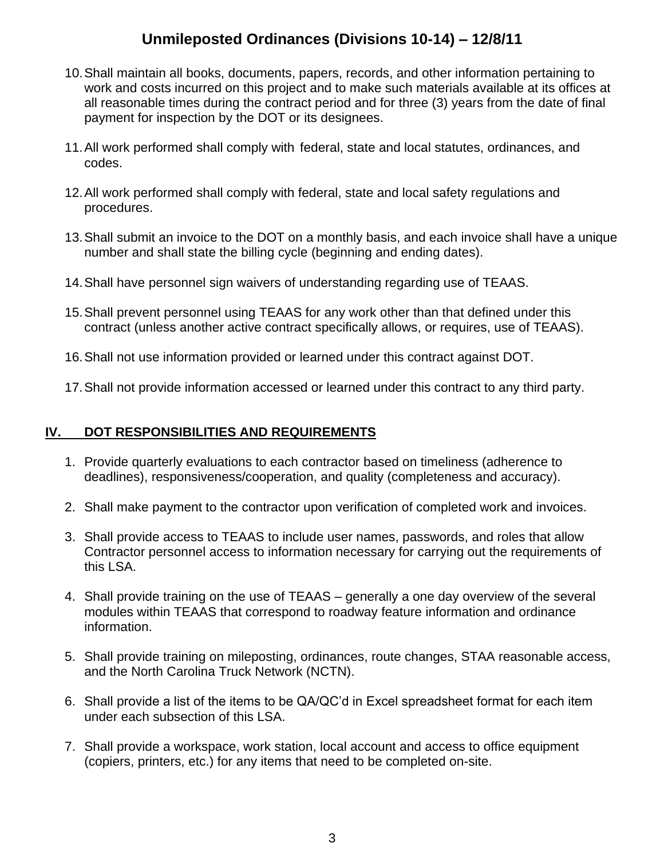# **Unmileposted Ordinances (Divisions 10-14) – 12/8/11**

- 10.Shall maintain all books, documents, papers, records, and other information pertaining to work and costs incurred on this project and to make such materials available at its offices at all reasonable times during the contract period and for three (3) years from the date of final payment for inspection by the DOT or its designees.
- 11.All work performed shall comply with federal, state and local statutes, ordinances, and codes.
- 12.All work performed shall comply with federal, state and local safety regulations and procedures.
- 13.Shall submit an invoice to the DOT on a monthly basis, and each invoice shall have a unique number and shall state the billing cycle (beginning and ending dates).
- 14.Shall have personnel sign waivers of understanding regarding use of TEAAS.
- 15.Shall prevent personnel using TEAAS for any work other than that defined under this contract (unless another active contract specifically allows, or requires, use of TEAAS).
- 16.Shall not use information provided or learned under this contract against DOT.
- 17.Shall not provide information accessed or learned under this contract to any third party.

#### **IV. DOT RESPONSIBILITIES AND REQUIREMENTS**

- 1. Provide quarterly evaluations to each contractor based on timeliness (adherence to deadlines), responsiveness/cooperation, and quality (completeness and accuracy).
- 2. Shall make payment to the contractor upon verification of completed work and invoices.
- 3. Shall provide access to TEAAS to include user names, passwords, and roles that allow Contractor personnel access to information necessary for carrying out the requirements of this LSA.
- 4. Shall provide training on the use of TEAAS generally a one day overview of the several modules within TEAAS that correspond to roadway feature information and ordinance information.
- 5. Shall provide training on mileposting, ordinances, route changes, STAA reasonable access, and the North Carolina Truck Network (NCTN).
- 6. Shall provide a list of the items to be QA/QC'd in Excel spreadsheet format for each item under each subsection of this LSA.
- 7. Shall provide a workspace, work station, local account and access to office equipment (copiers, printers, etc.) for any items that need to be completed on-site.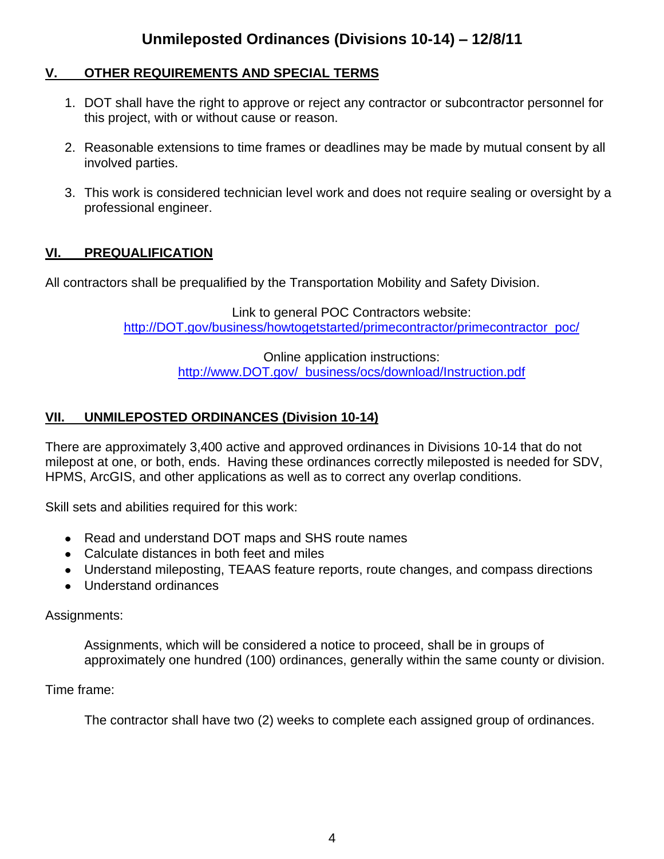#### **V. OTHER REQUIREMENTS AND SPECIAL TERMS**

- 1. DOT shall have the right to approve or reject any contractor or subcontractor personnel for this project, with or without cause or reason.
- 2. Reasonable extensions to time frames or deadlines may be made by mutual consent by all involved parties.
- 3. This work is considered technician level work and does not require sealing or oversight by a professional engineer.

### **VI. PREQUALIFICATION**

All contractors shall be prequalified by the Transportation Mobility and Safety Division.

Link to general POC Contractors website: [http://DOT.gov/business/howtogetstarted/primecontractor/primecontractor\\_poc/](http://ncdot.gov/business/howtogetstarted/primecontractor/primecontractor_poc/)

> Online application instructions: [http://www.DOT.gov/ business/ocs/download/Instruction.pdf](http://www.ncdot.gov/business/ocs/download/Instruction.pdf)

### **VII. UNMILEPOSTED ORDINANCES (Division 10-14)**

There are approximately 3,400 active and approved ordinances in Divisions 10-14 that do not milepost at one, or both, ends. Having these ordinances correctly mileposted is needed for SDV, HPMS, ArcGIS, and other applications as well as to correct any overlap conditions.

Skill sets and abilities required for this work:

- Read and understand DOT maps and SHS route names
- Calculate distances in both feet and miles
- Understand mileposting, TEAAS feature reports, route changes, and compass directions
- Understand ordinances

#### Assignments:

Assignments, which will be considered a notice to proceed, shall be in groups of approximately one hundred (100) ordinances, generally within the same county or division.

#### Time frame:

The contractor shall have two (2) weeks to complete each assigned group of ordinances.